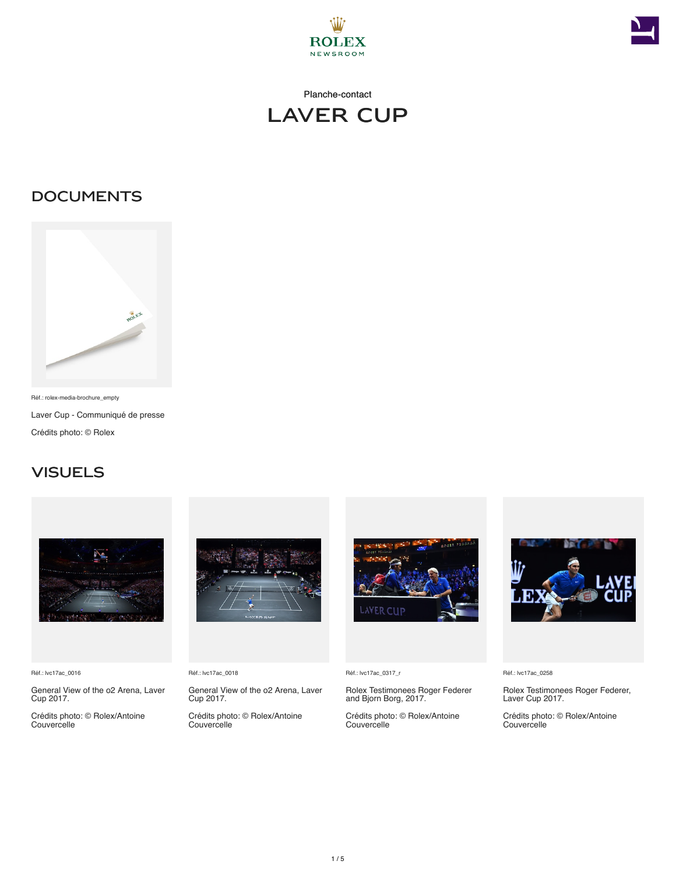





## **DOCUMENTS**



Réf.: rolex-media-brochure\_empty Laver Cup - Communiqué de presse Crédits photo: © Rolex

## **VISUELS**



Réf.: lvc17ac\_0016

General View of the o2 Arena, Laver Cup 2017.

Crédits photo: © Rolex/Antoine Couvercelle



Réf.: lvc17ac\_0018

General View of the o2 Arena, Laver Cup 2017. Crédits photo: © Rolex/Antoine Couvercelle



Réf.: lvc17ac\_0317\_r

Rolex Testimonees Roger Federer and Bjorn Borg, 2017.

Crédits photo: © Rolex/Antoine Couvercelle



Réf.: lvc17ac\_0258

Rolex Testimonees Roger Federer, Laver Cup 2017.

Crédits photo: © Rolex/Antoine Couvercelle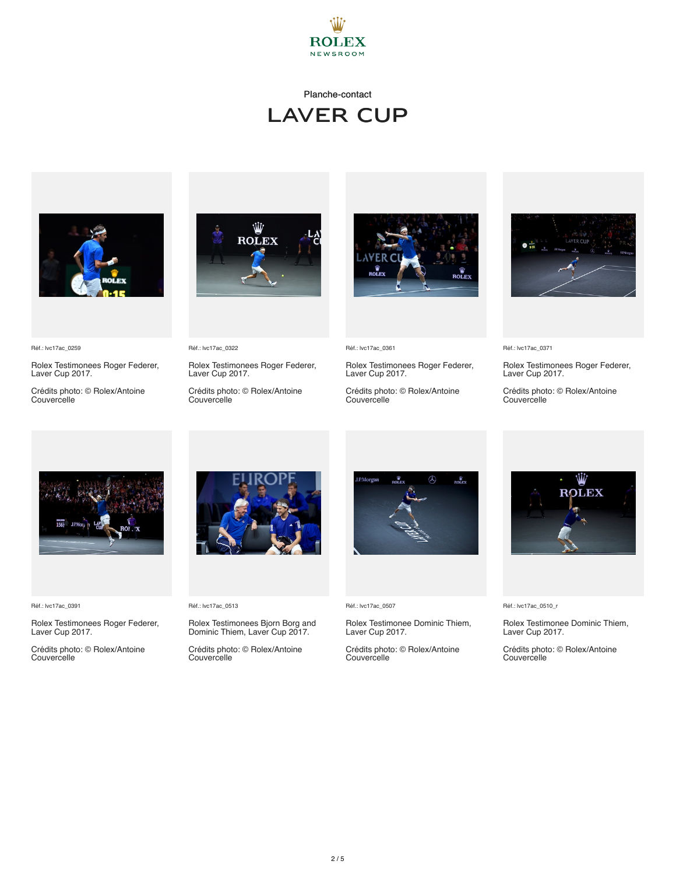

### Planche-contact

# LAVER CUP



Réf.: lvc17ac\_0259

Rolex Testimonees Roger Federer, Laver Cup 2017.

Crédits photo: © Rolex/Antoine Couvercelle





Rolex Testimonees Roger Federer, Laver Cup 2017.

Crédits photo: © Rolex/Antoine Couvercelle



Réf.: lvc17ac\_0361

Rolex Testimonees Roger Federer, Laver Cup 2017.

Crédits photo: © Rolex/Antoine Couvercelle



Réf.: lvc17ac\_0371

Rolex Testimonees Roger Federer, Laver Cup 2017.

Crédits photo: © Rolex/Antoine Couvercelle



Réf.: lvc17ac\_0391

Rolex Testimonees Roger Federer, Laver Cup 2017.

Crédits photo: © Rolex/Antoine Couvercelle



#### Réf.: lvc17ac\_0513

Rolex Testimonees Bjorn Borg and Dominic Thiem, Laver Cup 2017.

Crédits photo: © Rolex/Antoine Couvercelle



Réf.: lvc17ac\_0507

Rolex Testimonee Dominic Thiem, Laver Cup 2017.

Crédits photo: © Rolex/Antoine Couvercelle



Réf.: lvc17ac\_0510\_r

Rolex Testimonee Dominic Thiem, Laver Cup 2017.

Crédits photo: © Rolex/Antoine Couvercelle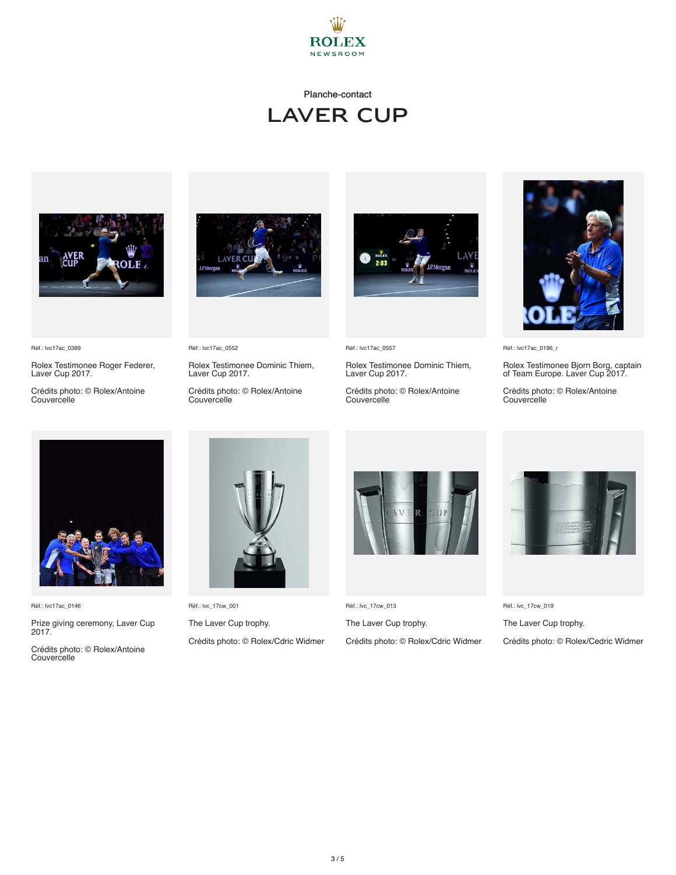

#### Planche-contact

# LAVER CUP





Réf.: lvc17ac\_0389

Rolex Testimonee Roger Federer, Laver Cup 2017.

Crédits photo: © Rolex/Antoine Couvercelle

Réf.: lvc17ac\_0552

Rolex Testimonee Dominic Thiem, Laver Cup 2017.

Crédits photo: © Rolex/Antoine Couvercelle



Réf.: lvc17ac\_0557

Rolex Testimonee Dominic Thiem, Laver Cup 2017.

Crédits photo: © Rolex/Antoine Couvercelle



Réf.: lvc17ac\_0196\_r

Rolex Testimonee Bjorn Borg, captain of Team Europe. Laver Cup 2017.

Crédits photo: © Rolex/Antoine Couvercelle



Réf.: lvc17ac\_0146

Prize giving ceremony, Laver Cup 2017.

Crédits photo: © Rolex/Antoine Couvercelle



Réf.: lvc\_17cw\_001 The Laver Cup trophy.

Crédits photo: © Rolex/Cdric Widmer



Réf.: lvc\_17cw\_013

The Laver Cup trophy. Crédits photo: © Rolex/Cdric Widmer



Réf.: lvc\_17cw\_019

The Laver Cup trophy.

Crédits photo: © Rolex/Cedric Widmer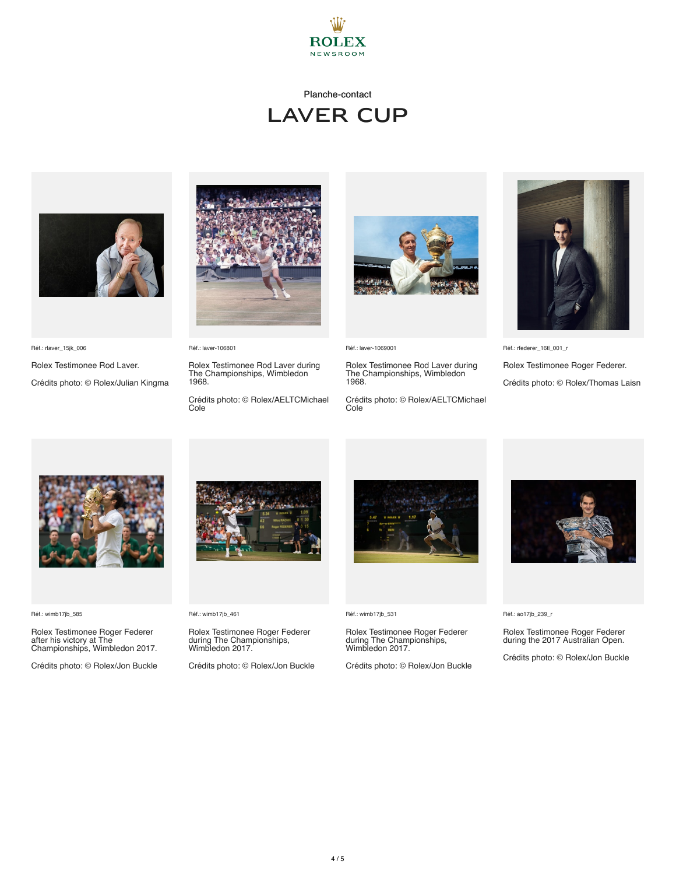

## Planche-contact LAVER CUP



Réf.: rlaver\_15jk\_006

Rolex Testimonee Rod Laver.

Crédits photo: © Rolex/Julian Kingma



Réf.: laver-106801

Rolex Testimonee Rod Laver during The Championships, Wimbledon 1968.

Crédits photo: © Rolex/AELTCMichael Cole



Réf.: laver-1069001

Rolex Testimonee Rod Laver during The Championships, Wimbledon 1968.

Crédits photo: © Rolex/AELTCMichael Cole



Réf.: rfederer\_16tl\_001\_r

Rolex Testimonee Roger Federer.

Crédits photo: © Rolex/Thomas Laisn



Réf.: wimb17jb\_585

Rolex Testimonee Roger Federer after his victory at The Championships, Wimbledon 2017.

Crédits photo: © Rolex/Jon Buckle



Réf.: wimb17jb\_461

Rolex Testimonee Roger Federer during The Championships, Wimbledon 2017.

Crédits photo: © Rolex/Jon Buckle



Réf.: wimb17jb\_531

Rolex Testimonee Roger Federer during The Championships, Wimbledon 2017.

Crédits photo: © Rolex/Jon Buckle



Réf.: ao17jb\_239\_r

Rolex Testimonee Roger Federer during the 2017 Australian Open.

Crédits photo: © Rolex/Jon Buckle